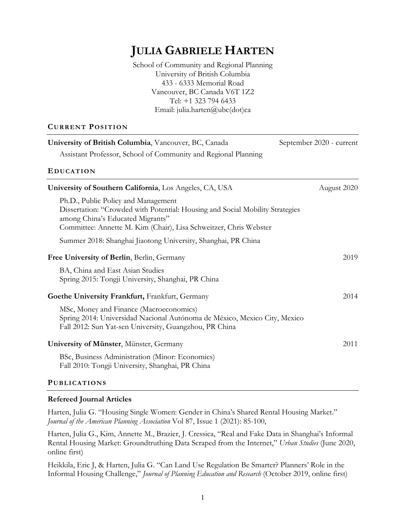# **JULIA GABRIELE HARTEN**

School of Community and Regional Planning University of British Columbia 433 - 6333 Memorial Road Vancouver, BC Canada V6T 1Z2 Tel: +1 323 794 6433 Email: julia.harten@ubc(dot)ca

#### **CURRENT POSITION**

| University of British Columbia, Vancouver, BC, Canada                                                                                                                                                                         | September 2020 - current |
|-------------------------------------------------------------------------------------------------------------------------------------------------------------------------------------------------------------------------------|--------------------------|
| Assistant Professor, School of Community and Regional Planning                                                                                                                                                                |                          |
| <b>EDUCATION</b>                                                                                                                                                                                                              |                          |
| University of Southern California, Los Angeles, CA, USA                                                                                                                                                                       | August 2020              |
| Ph.D., Public Policy and Management<br>Dissertation: "Crowded with Potential: Housing and Social Mobility Strategies<br>among China's Educated Migrants"<br>Committee: Annette M. Kim (Chair), Lisa Schweitzer, Chris Webster |                          |
| Summer 2018: Shanghai Jiaotong University, Shanghai, PR China                                                                                                                                                                 |                          |
| Free University of Berlin, Berlin, Germany                                                                                                                                                                                    | 2019                     |
| BA, China and East Asian Studies<br>Spring 2015: Tongji University, Shanghai, PR China                                                                                                                                        |                          |
| Goethe University Frankfurt, Frankfurt, Germany                                                                                                                                                                               | 2014                     |
| MSc, Money and Finance (Macroeconomics)<br>Spring 2014: Universidad Nacional Autónoma de México, Mexico City, Mexico<br>Fall 2012: Sun Yat-sen University, Guangzhou, PR China                                                |                          |
| University of Münster, Münster, Germany                                                                                                                                                                                       | 2011                     |
| BSc, Business Administration (Minor: Economics)<br>Fall 2010: Tongji University, Shanghai, PR China                                                                                                                           |                          |

### **PUBLICATIONS**

### **Refereed Journal Articles**

Harten, Julia G. "Housing Single Women: Gender in China's Shared Rental Housing Market." *Journal of the American Planning Association* Vol 87, Issue 1 (2021): 85-100,

Harten, Julia G., Kim, Annette M., Brazier, J. Cressica, "Real and Fake Data in Shanghai's Informal Rental Housing Market: Groundtruthing Data Scraped from the Internet," *Urban Studies* (June 2020, online first)

Heikkila, Eric J, & Harten, Julia G. "Can Land Use Regulation Be Smarter? Planners' Role in the Informal Housing Challenge," *Journal of Planning Education and Research* (October 2019, online first)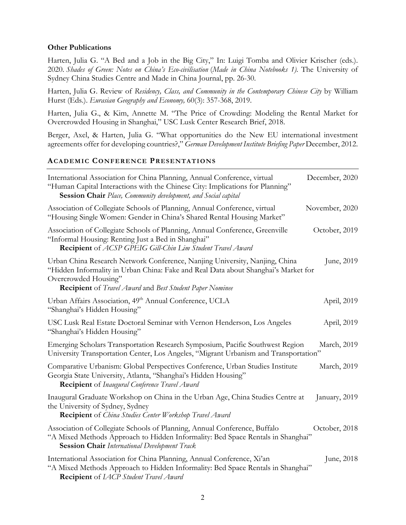#### **Other Publications**

Harten, Julia G. "A Bed and a Job in the Big City," In: Luigi Tomba and Olivier Krischer (eds.). 2020. *Shades of Green: Notes on China's Eco-civilisation* (*Made in China Notebooks 1)*. The University of Sydney China Studies Centre and Made in China Journal, pp. 26-30.

Harten, Julia G. Review of *Residency, Class, and Community in the Contemporary Chinese City* by William Hurst (Eds.). *Eurasian Geography and Economy,* 60(3): 357-368, 2019.

Harten, Julia G., & Kim, Annette M. "The Price of Crowding: Modeling the Rental Market for Overcrowded Housing in Shanghai," USC Lusk Center Research Brief, 2018.

Berger, Axel, & Harten, Julia G. "What opportunities do the New EU international investment agreements offer for developing countries?," *German Development Institute Briefing Paper* December, 2012.

#### **ACADEMIC CONFERENCE PRESENTATIONS**

| International Association for China Planning, Annual Conference, virtual<br>"Human Capital Interactions with the Chinese City: Implications for Planning"<br>Session Chair Place, Community development, and Social capital                                  | December, 2020 |
|--------------------------------------------------------------------------------------------------------------------------------------------------------------------------------------------------------------------------------------------------------------|----------------|
| Association of Collegiate Schools of Planning, Annual Conference, virtual<br>"Housing Single Women: Gender in China's Shared Rental Housing Market"                                                                                                          | November, 2020 |
| Association of Collegiate Schools of Planning, Annual Conference, Greenville<br>"Informal Housing: Renting Just a Bed in Shanghai"<br>Recipient of ACSP GPEIG Gill-Chin Lim Student Travel Award                                                             | October, 2019  |
| Urban China Research Network Conference, Nanjing University, Nanjing, China<br>"Hidden Informality in Urban China: Fake and Real Data about Shanghai's Market for<br>Overcrowded Housing"<br><b>Recipient</b> of Travel Award and Best Student Paper Nominee | June, 2019     |
| Urban Affairs Association, 49th Annual Conference, UCLA<br>"Shanghai's Hidden Housing"                                                                                                                                                                       | April, 2019    |
| USC Lusk Real Estate Doctoral Seminar with Vernon Henderson, Los Angeles<br>"Shanghai's Hidden Housing"                                                                                                                                                      | April, 2019    |
| Emerging Scholars Transportation Research Symposium, Pacific Southwest Region<br>University Transportation Center, Los Angeles, "Migrant Urbanism and Transportation"                                                                                        | March, 2019    |
| Comparative Urbanism: Global Perspectives Conference, Urban Studies Institute<br>Georgia State University, Atlanta, "Shanghai's Hidden Housing"<br><b>Recipient</b> of Inaugural Conference Travel Award                                                     | March, 2019    |
| Inaugural Graduate Workshop on China in the Urban Age, China Studies Centre at<br>the University of Sydney, Sydney<br><b>Recipient</b> of <i>China Studies Center Workshop Travel Award</i>                                                                  | January, 2019  |
| Association of Collegiate Schools of Planning, Annual Conference, Buffalo<br>"A Mixed Methods Approach to Hidden Informality: Bed Space Rentals in Shanghai"<br><b>Session Chair</b> International Development Track                                         | October, 2018  |
| International Association for China Planning, Annual Conference, Xi'an<br>"A Mixed Methods Approach to Hidden Informality: Bed Space Rentals in Shanghai"<br><b>Recipient</b> of <i>LACP Student Travel Award</i>                                            | June, 2018     |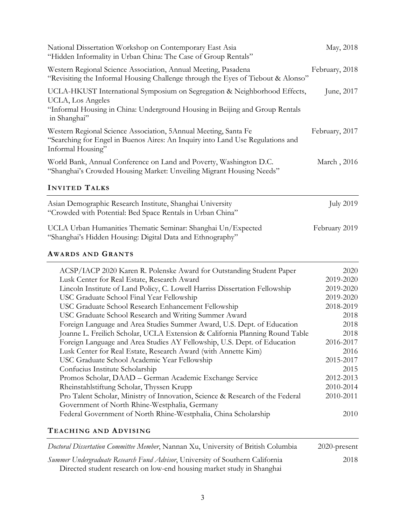| National Dissertation Workshop on Contemporary East Asia<br>"Hidden Informality in Urban China: The Case of Group Rentals"                                                                                                                                                                                                                                                                                                                                                                                                                                                                                                                                                                                                                                                                                                                                                                                                                                                                                                                                                                        | May, 2018                                                                                                                                                                 |
|---------------------------------------------------------------------------------------------------------------------------------------------------------------------------------------------------------------------------------------------------------------------------------------------------------------------------------------------------------------------------------------------------------------------------------------------------------------------------------------------------------------------------------------------------------------------------------------------------------------------------------------------------------------------------------------------------------------------------------------------------------------------------------------------------------------------------------------------------------------------------------------------------------------------------------------------------------------------------------------------------------------------------------------------------------------------------------------------------|---------------------------------------------------------------------------------------------------------------------------------------------------------------------------|
| Western Regional Science Association, Annual Meeting, Pasadena<br>"Revisiting the Informal Housing Challenge through the Eyes of Tiebout & Alonso"                                                                                                                                                                                                                                                                                                                                                                                                                                                                                                                                                                                                                                                                                                                                                                                                                                                                                                                                                | February, 2018                                                                                                                                                            |
| UCLA-HKUST International Symposium on Segregation & Neighborhood Effects,<br>UCLA, Los Angeles<br>"Informal Housing in China: Underground Housing in Beijing and Group Rentals<br>in Shanghai"                                                                                                                                                                                                                                                                                                                                                                                                                                                                                                                                                                                                                                                                                                                                                                                                                                                                                                    | June, 2017                                                                                                                                                                |
| Western Regional Science Association, 5Annual Meeting, Santa Fe<br>"Searching for Engel in Buenos Aires: An Inquiry into Land Use Regulations and<br>Informal Housing"                                                                                                                                                                                                                                                                                                                                                                                                                                                                                                                                                                                                                                                                                                                                                                                                                                                                                                                            | February, 2017                                                                                                                                                            |
| World Bank, Annual Conference on Land and Poverty, Washington D.C.<br>"Shanghai's Crowded Housing Market: Unveiling Migrant Housing Needs"                                                                                                                                                                                                                                                                                                                                                                                                                                                                                                                                                                                                                                                                                                                                                                                                                                                                                                                                                        | March, 2016                                                                                                                                                               |
| <b>INVITED TALKS</b>                                                                                                                                                                                                                                                                                                                                                                                                                                                                                                                                                                                                                                                                                                                                                                                                                                                                                                                                                                                                                                                                              |                                                                                                                                                                           |
| Asian Demographic Research Institute, Shanghai University<br>"Crowded with Potential: Bed Space Rentals in Urban China"                                                                                                                                                                                                                                                                                                                                                                                                                                                                                                                                                                                                                                                                                                                                                                                                                                                                                                                                                                           | <b>July 2019</b>                                                                                                                                                          |
| UCLA Urban Humanities Thematic Seminar: Shanghai Un/Expected<br>"Shanghai's Hidden Housing: Digital Data and Ethnography"                                                                                                                                                                                                                                                                                                                                                                                                                                                                                                                                                                                                                                                                                                                                                                                                                                                                                                                                                                         | February 2019                                                                                                                                                             |
| <b>AWARDS AND GRANTS</b>                                                                                                                                                                                                                                                                                                                                                                                                                                                                                                                                                                                                                                                                                                                                                                                                                                                                                                                                                                                                                                                                          |                                                                                                                                                                           |
| ACSP/IACP 2020 Karen R. Polenske Award for Outstanding Student Paper<br>Lusk Center for Real Estate, Research Award<br>Lincoln Institute of Land Policy, C. Lowell Harriss Dissertation Fellowship<br>USC Graduate School Final Year Fellowship<br>USC Graduate School Research Enhancement Fellowship<br>USC Graduate School Research and Writing Summer Award<br>Foreign Language and Area Studies Summer Award, U.S. Dept. of Education<br>Joanne L. Freilich Scholar, UCLA Extension & California Planning Round Table<br>Foreign Language and Area Studies AY Fellowship, U.S. Dept. of Education<br>Lusk Center for Real Estate, Research Award (with Annette Kim)<br>USC Graduate School Academic Year Fellowship<br>Confucius Institute Scholarship<br>Promos Scholar, DAAD - German Academic Exchange Service<br>Rheinstahlstiftung Scholar, Thyssen Krupp<br>Pro Talent Scholar, Ministry of Innovation, Science & Research of the Federal<br>Government of North Rhine-Westphalia, Germany<br>Federal Government of North Rhine-Westphalia, China Scholarship<br>TEACHING AND ADVISING | 2020<br>2019-2020<br>2019-2020<br>2019-2020<br>2018-2019<br>2018<br>2018<br>2018<br>2016-2017<br>2016<br>2015-2017<br>2015<br>2012-2013<br>2010-2014<br>2010-2011<br>2010 |
| Doctoral Dissertation Committee Member, Nannan Xu, University of British Columbia                                                                                                                                                                                                                                                                                                                                                                                                                                                                                                                                                                                                                                                                                                                                                                                                                                                                                                                                                                                                                 | 2020-present                                                                                                                                                              |

| Summer Undergraduate Research Fund Advisor, University of Southern California | 2018 |
|-------------------------------------------------------------------------------|------|
| Directed student research on low-end housing market study in Shanghai         |      |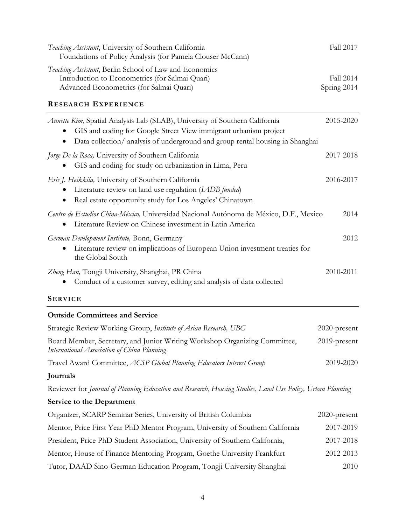| Teaching Assistant, University of Southern California<br>Foundations of Policy Analysis (for Pamela Clouser McCann)                                                                                                                   | Fall 2017                |
|---------------------------------------------------------------------------------------------------------------------------------------------------------------------------------------------------------------------------------------|--------------------------|
| Teaching Assistant, Berlin School of Law and Economics<br>Introduction to Econometrics (for Salmai Quari)<br>Advanced Econometrics (for Salmai Quari)<br><b>RESEARCH EXPERIENCE</b>                                                   | Fall 2014<br>Spring 2014 |
| Annette Kim, Spatial Analysis Lab (SLAB), University of Southern California<br>GIS and coding for Google Street View immigrant urbanism project<br>٠<br>Data collection/ analysis of underground and group rental housing in Shanghai | 2015-2020                |
| <i>Jorge De la Roca</i> , University of Southern California<br>GIS and coding for study on urbanization in Lima, Peru                                                                                                                 | 2017-2018                |
| Eric J. Heikkila, University of Southern California<br>Literature review on land use regulation (LADB funded)<br>Real estate opportunity study for Los Angeles' Chinatown                                                             | 2016-2017                |
| Centro de Estudios China-México, Universidad Nacional Autónoma de México, D.F., Mexico<br>Literature Review on Chinese investment in Latin America                                                                                    | 2014                     |
| German Development Institute, Bonn, Germany<br>Literature review on implications of European Union investment treaties for<br>the Global South                                                                                        | 2012                     |
| Zheng Han, Tongji University, Shanghai, PR China<br>Conduct of a customer survey, editing and analysis of data collected                                                                                                              | 2010-2011                |
| <b>SERVICE</b>                                                                                                                                                                                                                        |                          |
| <b>Outside Committees and Service</b>                                                                                                                                                                                                 |                          |
| Strategic Review Working Group, Institute of Asian Research, UBC                                                                                                                                                                      | 2020-present             |
| Board Member, Secretary, and Junior Writing Workshop Organizing Committee,<br>International Association of China Planning                                                                                                             | 2019-present             |
| Travel Award Committee, ACSP Global Planning Educators Interest Group                                                                                                                                                                 | 2019-2020                |
| Journals                                                                                                                                                                                                                              |                          |
| Reviewer for Journal of Planning Education and Research, Housing Studies, Land Use Policy, Urban Planning                                                                                                                             |                          |
| <b>Service to the Department</b>                                                                                                                                                                                                      |                          |

| Organizer, SCARP Seminar Series, University of British Columbia                | 2020-present |
|--------------------------------------------------------------------------------|--------------|
| Mentor, Price First Year PhD Mentor Program, University of Southern California | 2017-2019    |
| President, Price PhD Student Association, University of Southern California,   | 2017-2018    |
| Mentor, House of Finance Mentoring Program, Goethe University Frankfurt        | 2012-2013    |
| Tutor, DAAD Sino-German Education Program, Tongji University Shanghai          | 2010         |